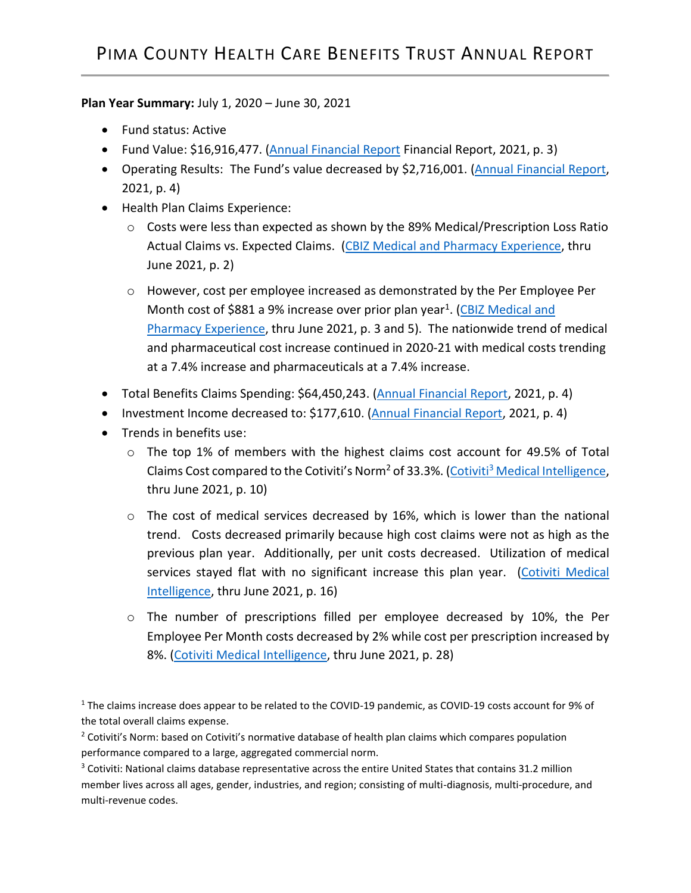## **Plan Year Summary:** July 1, 2020 – June 30, 2021

- Fund status: Active
- Fund Value: \$16,916,477. [\(Annual Financial Report](https://webcms.pima.gov/UserFiles/Servers/Server_6/File/Government/Human%20Resources/Health%20Care%20Benefits%20Trust/2021/4%20FY%2021%20HBT%20Annual%20Financial%20Report%20WEB.pdf) Financial Report, 2021, p. 3)
- Operating Results: The Fund's value decreased by \$2,716,001. [\(Annual Financial Report,](https://webcms.pima.gov/UserFiles/Servers/Server_6/File/Government/Human%20Resources/Health%20Care%20Benefits%20Trust/2021/4%20FY%2021%20HBT%20Annual%20Financial%20Report%20WEB.pdf) 2021, p. 4)
- Health Plan Claims Experience:
	- o Costs were less than expected as shown by the 89% Medical/Prescription Loss Ratio Actual Claims vs. Expected Claims. (CBIZ Medical [and Pharmacy Experience,](https://webcms.pima.gov/UserFiles/Servers/Server_6/File/Government/Human%20Resources/Health%20Care%20Benefits%20Trust/2021/6%20CBIZ%20Pima%20County%20Medical%20RX%20Experience%20Report_06%2021_EBT%208%2012%2021.pdf) thru June 2021, p. 2)
	- o However, cost per employee increased as demonstrated by the Per Employee Per Month cost of \$881 a 9% increase over prior plan year<sup>1</sup>. (CBIZ Medical and [Pharmacy Experience,](https://webcms.pima.gov/UserFiles/Servers/Server_6/File/Government/Human%20Resources/Health%20Care%20Benefits%20Trust/2021/6%20CBIZ%20Pima%20County%20Medical%20RX%20Experience%20Report_06%2021_EBT%208%2012%2021.pdf) thru June 2021, p. 3 and 5). The nationwide trend of medical and pharmaceutical cost increase continued in 2020-21 with medical costs trending at a 7.4% increase and pharmaceuticals at a 7.4% increase.
- Total Benefits Claims Spending: \$64,450,243. [\(Annual Financial Report,](https://webcms.pima.gov/UserFiles/Servers/Server_6/File/Government/Human%20Resources/Health%20Care%20Benefits%20Trust/2021/4%20FY%2021%20HBT%20Annual%20Financial%20Report%20WEB.pdf) 2021, p. 4)
- Investment Income decreased to: \$177,610. [\(Annual Financial Report,](https://webcms.pima.gov/UserFiles/Servers/Server_6/File/Government/Human%20Resources/Health%20Care%20Benefits%20Trust/2021/4%20FY%2021%20HBT%20Annual%20Financial%20Report%20WEB.pdf) 2021, p. 4)
- Trends in benefits use:
	- o The top 1% of members with the highest claims cost account for 49.5% of Total Claims Cost compared to the Cotiviti's Norm<sup>2</sup> of 33.3%. (Cotiviti<sup>3</sup> [Medical Intelligence,](https://webcms.pima.gov/UserFiles/Servers/Server_6/File/Government/Human%20Resources/Health%20Care%20Benefits%20Trust/2021/8%20Attachment%203%20Pima%20County%202020-21%20Q4%20Medical%20Intelligence%20Report%2020210630.pdf) thru June 2021, p. 10)
	- $\circ$  The cost of medical services decreased by 16%, which is lower than the national trend. Costs decreased primarily because high cost claims were not as high as the previous plan year. Additionally, per unit costs decreased. Utilization of medical services stayed flat with no significant increase this plan year. (Cotiviti Medical [Intelligence,](https://webcms.pima.gov/UserFiles/Servers/Server_6/File/Government/Human%20Resources/Health%20Care%20Benefits%20Trust/2021/8%20Attachment%203%20Pima%20County%202020-21%20Q4%20Medical%20Intelligence%20Report%2020210630.pdf) thru June 2021, p. 16)
	- o The number of prescriptions filled per employee decreased by 10%, the Per Employee Per Month costs decreased by 2% while cost per prescription increased by 8%. [\(Cotiviti Medical Intelligence,](https://webcms.pima.gov/UserFiles/Servers/Server_6/File/Government/Human%20Resources/Health%20Care%20Benefits%20Trust/2021/8%20Attachment%203%20Pima%20County%202020-21%20Q4%20Medical%20Intelligence%20Report%2020210630.pdf) thru June 2021, p. 28)

<sup>1</sup> The claims increase does appear to be related to the COVID-19 pandemic, as COVID-19 costs account for 9% of the total overall claims expense.

<sup>2</sup> Cotiviti's Norm: based on Cotiviti's normative database of health plan claims which compares population performance compared to a large, aggregated commercial norm.

<sup>3</sup> Cotiviti: National claims database representative across the entire United States that contains 31.2 million member lives across all ages, gender, industries, and region; consisting of multi-diagnosis, multi-procedure, and multi-revenue codes.